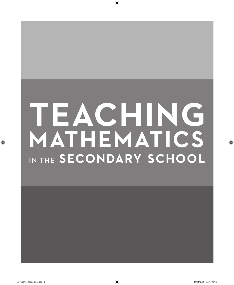⊕

◈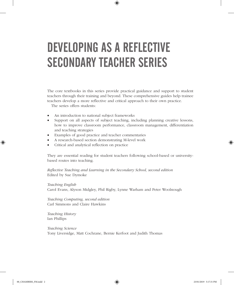## DEVELOPING AS A REFLECTIVE SECONDARY TEACHER SERIES

⊕

The core textbooks in this series provide practical guidance and support to student teachers through their training and beyond. These comprehensive guides help trainee teachers develop a more reflective and critical approach to their own practice.

The series offers students:

- An introduction to national subject frameworks
- Support on all aspects of subject teaching, including planning creative lessons, how to improve classroom performance, classroom management, differentiation and teaching strategies
- Examples of good practice and teacher commentaries
- A research-based section demonstrating M-level work
- Critical and analytical reflection on practice

They are essential reading for student teachers following school-based or universitybased routes into teaching.

*Reflective Teaching and Learning in the Secondary School, second edition* Edited by Sue Dymoke

*Teaching English* Carol Evans, Alyson Midgley, Phil Rigby, Lynne Warham and Peter Woolnough

*Teaching Computing, second edition* Carl Simmons and Claire Hawkins

*Teaching History* Ian Phillips

*Teaching Science* Tony Liversidge, Matt Cochrane, Bernie Kerfoot and Judith Thomas

♠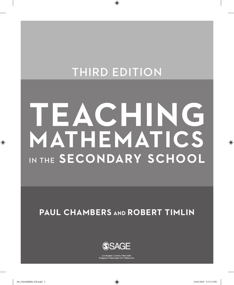## THIRD EDITION

⊕

# **TEACHING MATHEMATICS** IN THE **SECONDARY SCHOOL**

**PAUL CHAMBERS AND ROBERT TIMLIN**



Los Angeles | London | New Delhi<br>gapore | Washington DC | Melbourne

◈

 $\bigoplus$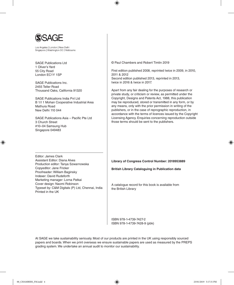

Los Angeles | London | New Delhi Singapore | Washington DC | Melbourne

SAGE Publications Ltd 1 Oliver's Yard 55 City Road London EC1Y 1SP

SAGE Publications Inc. 2455 Teller Road Thousand Oaks, California 91320

SAGE Publications India Pvt Ltd B 1/I 1 Mohan Cooperative Industrial Area Mathura Road New Delhi 110 044

SAGE Publications Asia – Pacific Pte Ltd 3 Church Street #10–04 Samsung Hub Singapore 049483

© Paul Chambers and Robert Timlin 2019

♠

First edition published 2008, reprinted twice in 2009, in 2010, 2011 & 2012 Second edition published 2013, reprinted in 2013, twice in 2016 & twice in 2017.

Apart from any fair dealing for the purposes of research or private study, or criticism or review, as permitted under the Copyright, Designs and Patents Act, 1988, this publication may be reproduced, stored or transmitted in any form, or by any means, only with the prior permission in writing of the publishers, or in the case of reprographic reproduction, in accordance with the terms of licences issued by the Copyright Licensing Agency. Enquiries concerning reproduction outside those terms should be sent to the publishers.

Editor: James Clark Assistant Editor: Diana Alves Production editor: Tanya Szwarnowska Copyeditor: Jane Fricker Proofreader: William Baginsky Indexer: David Rudeforth Marketing manager: Lorna Patkai Cover design: Naomi Robinson Typeset by: C&M Digitals (P) Ltd, Chennai, India Printed in the UK

**Library of Congress Control Number: 2018953889**

**British Library Cataloguing in Publication data**

A catalogue record for this book is available from the British Library

ISBN 978-1-4739-7427-2 ISBN 978-1-4739-7428-9 (pbk)

At SAGE we take sustainability seriously. Most of our products are printed in the UK using responsibly sourced papers and boards. When we print overseas we ensure sustainable papers are used as measured by the PREPS grading system. We undertake an annual audit to monitor our sustainability.

♠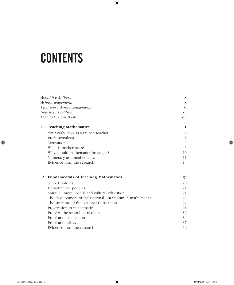## **CONTENTS**

| <i>About the Authors</i><br>Acknowledgements<br>Publisher's Acknowledgements |                                                           | ix<br>$\mathbf X$<br>xi |  |                      |      |
|------------------------------------------------------------------------------|-----------------------------------------------------------|-------------------------|--|----------------------|------|
|                                                                              |                                                           |                         |  | New to this Edition  | xii  |
|                                                                              |                                                           |                         |  | How to Use this Book | xiii |
| 1                                                                            | <b>Teaching Mathematics</b>                               | 1                       |  |                      |      |
|                                                                              | Your early days as a trainee teacher                      | 2                       |  |                      |      |
|                                                                              | Professionalism                                           | $\mathfrak{Z}$          |  |                      |      |
|                                                                              | Motivations                                               | $\overline{4}$          |  |                      |      |
|                                                                              | What is mathematics?                                      | 6                       |  |                      |      |
|                                                                              | Why should mathematics be taught?                         | 10                      |  |                      |      |
|                                                                              | Numeracy and mathematics                                  | 11                      |  |                      |      |
|                                                                              | Evidence from the research                                | 13                      |  |                      |      |
| 2                                                                            | <b>Fundamentals of Teaching Mathematics</b>               | 19                      |  |                      |      |
|                                                                              | School policies                                           | 20                      |  |                      |      |
|                                                                              | Departmental policies                                     | 21                      |  |                      |      |
|                                                                              | Spiritual, moral, social and cultural education           | 21                      |  |                      |      |
|                                                                              | The development of the National Curriculum in mathematics | 24                      |  |                      |      |
|                                                                              | The structure of the National Curriculum                  | 27                      |  |                      |      |
|                                                                              | Progression in mathematics                                | 28                      |  |                      |      |
|                                                                              | Proof in the school curriculum                            | 32                      |  |                      |      |
|                                                                              | Proof and justification                                   | 34                      |  |                      |      |
|                                                                              | Proof and fallacy                                         | 37                      |  |                      |      |
|                                                                              | Evidence from the research                                | 39                      |  |                      |      |
|                                                                              |                                                           |                         |  |                      |      |

 $\bigoplus$ 

 $\bigoplus$ 

 $\overline{\phantom{a}}$ 

 $\bigoplus$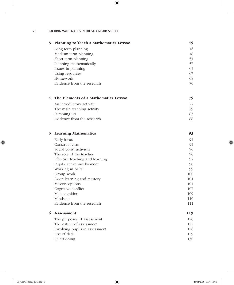I

 $\bigoplus$ 

| 3. | <b>Planning to Teach a Mathematics Lesson</b> |    |
|----|-----------------------------------------------|----|
|    | Long-term planning                            | 46 |
|    | Medium-term planning                          | 48 |
|    | Short-term planning                           | 54 |
|    | Planning mathematically                       |    |
|    | Issues in planning                            | 65 |
|    | Using resources                               | 67 |
|    | Homework                                      | 68 |
|    | Evidence from the research                    |    |

 $\bigoplus$ 

| 4 The Elements of a Mathematics Lesson | 75 |
|----------------------------------------|----|
| An introductory activity               |    |
| The main teaching activity             | 79 |
| Summing up                             | 83 |
| Evidence from the research             | 88 |
|                                        |    |

| 5. | <b>Learning Mathematics</b>     | 93              |
|----|---------------------------------|-----------------|
|    | Early ideas                     | 94              |
|    | Constructivism                  | 94              |
|    | Social constructivism           | 96              |
|    | The role of the teacher         | 96              |
|    | Effective teaching and learning | 97              |
|    | Pupils' active involvement      | 98              |
|    | Working in pairs                | 99              |
|    | Group work                      | 100             |
|    | Deep learning and mastery       | 101             |
|    | Misconceptions                  | 104             |
|    | Cognitive conflict              | 107             |
|    | Metacognition                   | 109             |
|    | Mindsets                        | 110             |
|    | Evidence from the research      | 111             |
| 6  | <b>Assessment</b>               | 119             |
|    | The purposes of assessment      | 120             |
|    | The nature of assessment        | 1 $\cap$ $\cap$ |

| The purposes of assessment     | 120 |
|--------------------------------|-----|
| The nature of assessment       | 122 |
| Involving pupils in assessment | 126 |
| Use of data                    | 129 |
| Questioning                    | 130 |

 $\overline{\phantom{a}}$ 

 $\bigoplus$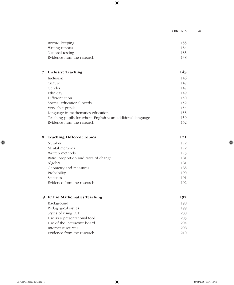$\mathbb{R}$ 

 $\bigoplus$ 

| <b>CONTENTS</b> | <b>VII</b> |
|-----------------|------------|
|                 |            |

 $\overline{\phantom{a}}$ 

 $\bigoplus$ 

| Record-keeping             | 133  |
|----------------------------|------|
| Writing reports            | 134  |
| National testing           | 135. |
| Evidence from the research | 138  |

 $\bigoplus$ 

| <b>Inclusive Teaching</b>                                  | 145 |
|------------------------------------------------------------|-----|
| Inclusion                                                  | 146 |
| Culture                                                    | 147 |
| Gender                                                     | 147 |
| Ethnicity                                                  | 149 |
| Differentiation                                            | 150 |
| Special educational needs                                  | 152 |
| Very able pupils                                           | 154 |
| Language in mathematics education                          | 155 |
| Teaching pupils for whom English is an additional language | 159 |
| Evidence from the research                                 | 162 |

| 8. | <b>Teaching Different Topics</b>      | 171 |
|----|---------------------------------------|-----|
|    | Number                                | 172 |
|    | Mental methods                        | 172 |
|    | Written methods                       | 173 |
|    | Ratio, proportion and rates of change | 181 |
|    | Algebra                               | 181 |
|    | Geometry and measures                 | 186 |
|    | Probability                           | 190 |
|    | <b>Statistics</b>                     | 191 |
|    | Evidence from the research            | 192 |

| 9 ICT in Mathematics Teaching | 197 |
|-------------------------------|-----|
| Background                    | 198 |
| Pedagogical issues            | 199 |
| Styles of using ICT           | 200 |
| Use as a presentational tool  | 203 |
| Use of the interactive board  | 204 |
| Internet resources            | 208 |
| Evidence from the research    | 210 |

 $\overline{\phantom{a}}$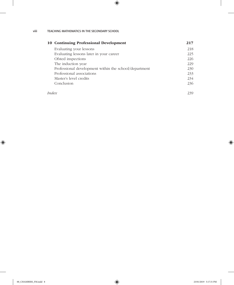$\overline{\phantom{a}}$ 

 $\bigoplus$ 

|       | 10 Continuing Professional Development                | 217 |
|-------|-------------------------------------------------------|-----|
|       | Evaluating your lessons                               | 218 |
|       | Evaluating lessons later in your career               | 225 |
|       | Ofsted inspections                                    | 226 |
|       | The induction year                                    | 229 |
|       | Professional development within the school/department | 230 |
|       | Professional associations                             | 233 |
|       | Master's level credits                                | 234 |
|       | Conclusion                                            | 236 |
| Index |                                                       | 239 |

 $\bigoplus$ 

 $\overline{\phantom{a}}$ 

 $\overline{\phantom{a}}$ 

 $\bigoplus$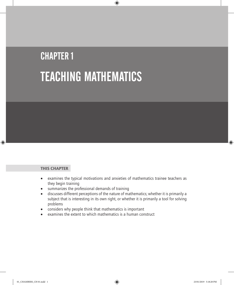## CHAPTER 1 TEACHING MATHEMATICS

#### THIS CHAPTER

⊕

• examines the typical motivations and anxieties of mathematics trainee teachers as they begin training

⊕

- summarizes the professional demands of training
- discusses different perceptions of the nature of mathematics; whether it is primarily a subject that is interesting in its own right, or whether it is primarily a tool for solving problems
- considers why people think that mathematics is important
- examines the extent to which mathematics is a human construct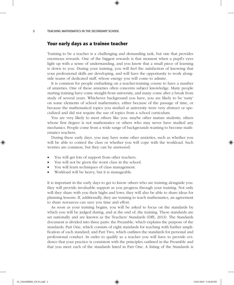#### Your early days as a trainee teacher

Training to be a teacher is a challenging and demanding task, but one that provides enormous rewards. One of the biggest rewards is that moment when a pupil's eyes light up with a sense of understanding, and you know that a small piece of learning is down to you. During your training, you will feel the satisfaction of knowing that your professional skills are developing, and will have the opportunity to work alongside teams of dedicated staff, whose energy you will come to admire.

⊕

It is common for people embarking on a teacher-training course to have a number of anxieties. One of these anxieties often concerns subject knowledge. Many people starting training have come straight from university, and many come after a break from study of several years. Whichever background you have, you are likely to be 'rusty' on some elements of school mathematics, either because of the passage of time, or because the mathematical topics you studied at university were very abstract or specialized and did not require the use of topics from a school curriculum.

You are very likely to meet others like you: maybe other mature students, others whose first degree is not mathematics or others who may never have studied any mechanics. People come from a wide range of backgrounds wanting to become mathematics teachers.

During these early days, you may have some other anxieties, such as whether you will be able to control the class or whether you will cope with the workload. Such worries are common, but they can be answered:

- You will get lots of support from other teachers.
- You will not be given the worst class in the school.
- You will learn techniques of class management.
- Workload will be heavy, but it is manageable.

It is important in the early days to get to know others who are training alongside you: they will provide invaluable support as you progress through your training. Not only will they share with you their highs and lows, they will also be able to share ideas for planning lessons. If, additionally, they are training to teach mathematics, an agreement to share resources can save you time and effort.

As soon as your training begins, you will be asked to focus on the standards by which you will be judged during, and at the end of, the training. These standards are set nationally and are known as the Teachers' Standards (DfE, 2013). The Standards document is divided into three parts: the Preamble, which explains the purpose of the standards; Part One, which consists of eight standards for teaching with further amplification of each standard; and Part Two, which outlines the standards for personal and professional conduct. In order to qualify as a teacher you will have to provide evidence that your practice is consistent with the principles outlined in the Preamble and that you meet each of the standards listed in Part One. A listing of the Standards is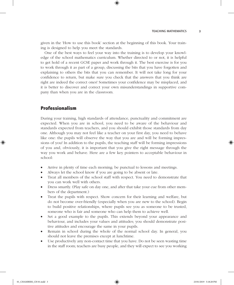given in the 'How to use this book' section at the beginning of this book. Your training is designed to help you meet the standards.

⊕

One of the best ways to feel your way into the training is to develop your knowledge of the school mathematics curriculum. Whether directed to or not, it is helpful to get hold of a recent GCSE paper and work through it. The best exercise is for you to work through it as part of a group, discussing the bits that you have forgotten and explaining to others the bits that you can remember. It will not take long for your confidence to return, but make sure you check that the answers that you think are right are indeed the correct ones! Sometimes your confidence may be misplaced, and it is better to discover and correct your own misunderstandings in supportive company than when you are in the classroom.

#### Professionalism

During your training, high standards of attendance, punctuality and commitment are expected. When you are in school, you need to be aware of the behaviour and standards expected from teachers, and you should exhibit those standards from day one. Although you may not feel like a teacher on your first day, you need to behave like one: the pupils will observe the way that you are and will be forming impressions of you! In addition to the pupils, the teaching staff will be forming impressions of you and, obviously, it is important that you give the right message through the way you work and behave. Here are a few key pointers to acceptable behaviour in school:

- Arrive in plenty of time each morning; be punctual to lessons and meetings.
- Always let the school know if you are going to be absent or late.
- Treat all members of the school staff with respect. You need to demonstrate that you can work well with others.
- Dress smartly. (Play safe on day one, and after that take your cue from other members of the department.)
- Treat the pupils with respect. Show concern for their learning and welfare, but do not become over-friendly (especially when you are new to the school). Begin to build positive relationships, where pupils see you as someone to be trusted, someone who is fair and someone who can help them to achieve well.
- Set a good example to the pupils. This extends beyond your appearance and behaviour, and includes your values and attitudes; you should demonstrate positive attitudes and encourage the same in your pupils.
- Remain in school during the whole of the normal school day. In general, you should not leave the premises except at lunchtime.
- Use productively any non-contact time that you have. Do not be seen wasting time in the staff room; teachers are busy people, and they will expect to see you working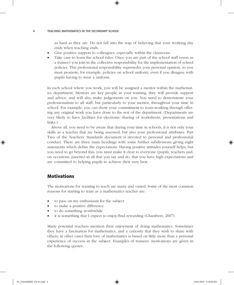as hard as they are. Do not fall into the trap of believing that your working day ends when teaching ends.

⊕

- Give positive support to colleagues, especially within the classroom.
- Take care to learn the school rules. Once you are part of the school staff (even as a trainee) you join in the collective responsibility for the implementation of school policies. This professional responsibility supersedes your personal opinion, so you must promote, for example, policies on school uniform, even if you disagree with pupils having to wear a uniform.

In each school where you work, you will be assigned a mentor within the mathematics department. Mentors are key people in your training; they will provide support and advice, and will also make judgements on you. You need to demonstrate your professionalism to all staff, but particularly to your mentor, throughout your time in school. For example, you can show your commitment to team-working through offering any original work you have done to the rest of the department. (Departments are very likely to have facilities for electronic sharing of worksheets, presentations and links.)

Above all, you need to be aware that during your time in schools, it is not only your skills as a teacher that are being assessed, but also your professional attributes. Part Two of the Teachers' Standards document is devoted to personal and professional conduct. There are three main headings with some further subdivisions giving eight statements which define the expectations. Having positive attitudes yourself helps, but you need to go beyond this; you must make it clear to everyone (pupils, teachers and, on occasions, parents) in all that you say and do, that you have high expectations and are committed to helping pupils to achieve their very best.

#### **Motivations**

The motivations for wanting to teach are many and varied. Some of the most common reasons for starting to train as a mathematics teacher are:

- to pass on my enthusiasm for the subject
- to make a positive difference
- to do something worthwhile
- it is something that I expect to enjoy/find rewarding (Chambers, 2007).

Many potential teachers mention their enjoyment of doing mathematics. Sometimes they have a fascination for mathematics, and a curiosity that they wish to share with others; in other cases their love of mathematics is based on little more than a personal experience of success in the subject. Examples of trainees' motivations are given in the following quotes: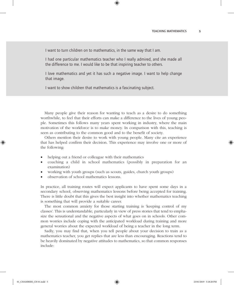I want to turn children on to mathematics, in the same way that I am.

I had one particular mathematics teacher who I really admired, and she made all the difference to me. I would like to be that inspiring teacher to others.

⊕

I love mathematics and yet it has such a negative image. I want to help change that image.

I want to show children that mathematics is a fascinating subject.

Many people give their reason for wanting to teach as a desire to do something worthwhile, to feel that their efforts can make a difference to the lives of young people. Sometimes this follows many years spent working in industry, where the main motivation of the workforce is to make money. In comparison with this, teaching is seen as contributing to the common good and to the benefit of society.

Others mention their desire to work with young people. Many cite an experience that has helped confirm their decision. This experience may involve one or more of the following:

- helping out a friend or colleague with their mathematics
- coaching a child in school mathematics (possibly in preparation for an examination)
- working with youth groups (such as scouts, guides, church youth groups)
- observation of school mathematics lessons.

In practice, all training routes will expect applicants to have spent some days in a secondary school, observing mathematics lessons before being accepted for training. There is little doubt that this gives the best insight into whether mathematics teaching is something that will provide a suitable career.

The most common anxiety for those starting training is 'keeping control of my classes'. This is understandable, particularly in view of press stories that tend to emphasize the sensational and the negative aspects of what goes on in schools. Other common worries include coping with the anticipated workload during training and more general worries about the expected workload of being a teacher in the long term.

Sadly, you may find that, when you tell people about your decision to train as a mathematics teacher, you get replies that are less than encouraging. Reactions tend to be heavily dominated by negative attitudes to mathematics, so that common responses include: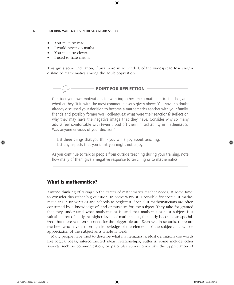- You must be mad.
- I could never do maths.
- You must be clever.
- I used to hate maths.

This gives some indication, if any more were needed, of the widespread fear and/or dislike of mathematics among the adult population.

⊕



Consider your own motivations for wanting to become a mathematics teacher, and whether they fit in with the most common reasons given above. You have no doubt already discussed your decision to become a mathematics teacher with your family, friends and possibly former work colleagues; what were their reactions? Reflect on why they may have the negative image that they have. Consider why so many adults feel comfortable with (even proud of) their limited ability in mathematics. Was anyone envious of your decision?

List three things that you think you will enjoy about teaching. List any aspects that you think you might not enjoy.

As you continue to talk to people from outside teaching during your training, note how many of them give a negative response to teaching or to mathematics.

#### What is mathematics?

Anyone thinking of taking up the career of mathematics teacher needs, at some time, to consider this rather big question. In some ways, it is possible for specialist mathematicians in universities and schools to neglect it. Specialist mathematicians are often consumed by a knowledge of, and enthusiasm for, the subject. They take for granted that they understand what mathematics is, and that mathematics as a subject is a valuable area of study. At higher levels of mathematics, the study becomes so specialized that there is often no need for the bigger picture. Even within schools, there are teachers who have a thorough knowledge of the elements of the subject, but whose appreciation of the subject as a whole is weak.

Many people have tried to describe what mathematics is. Most definitions use words like logical ideas, interconnected ideas, relationships, patterns; some include other aspects such as communication, or particular sub-sections like the appreciation of

♠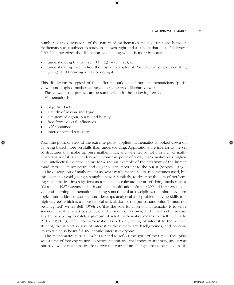number. Many discussions of the nature of mathematics make distinctions between mathematics as a subject to study in its own right and a subject that is useful. Ernest (1991) characterizes the distinction as deciding which is more important:

⊕

- understanding that  $5 \times 23 = (4 \times 23) + (1 \times 23)$ , or
- understanding that finding the cost of 5 apples at 23p each involves calculating  $5 \times 23$ , and knowing a way of doing it.

This distinction is typical of the different outlooks of pure mathematicians (purist views) and applied mathematicians or engineers (utilitarian views).

The views of the purists can be summarized in the following terms. Mathematics is:

- objective facts
- a study of reason and logic
- a system of rigour, purity and beauty
- free from societal influences
- self-contained

♠

interconnected structures.

From the point of view of the extreme purist, applied mathematics is looked down on as being based more on skills than understanding. Applications are inferior to the set of structures that make up pure mathematics, and whether or not a branch of mathematics is useful is an irrelevance. From this point of view, mathematics is a higherlevel intellectual exercise, an art form and an example of the creativity of the human mind. Words like aesthetics and elegance are important to the purist (Scopes, 1973).

The description of mathematics as 'what mathematicians do' is sometimes used, but this seems to avoid giving a straight answer. Similarly, to describe the aim of performing mathematical investigations as a means 'to cultivate the art of doing mathematics' (Gardiner, 1987) seems to be insufficient justification. Smith (2004: 11) refers to the value of learning mathematics as being something that 'disciplines the mind, develops logical and critical reasoning, and develops analytical and problem solving skills to a high degree', which is a more helpful articulation of the purist standpoint. 'It must not be imagined', writes Bell (1953: 2), 'that the sole function of mathematics is to serve science ... mathematics has a light and wisdom of its own, and it will richly reward any human being to catch a glimpse of what mathematics means to itself'. Similarly, Pedoe (1958: 9) refers to mathematics as not only being of interest to the science student; the subject is also of interest to those with arts backgrounds, and contains 'much which is beautiful and should interest everyone'.

The mathematics curriculum has tended to reflect the spirit of the times. The 1960s was a time of free expression, experimentation and challenges to authority, and it was purist views of mathematics that drove the curriculum changes that took place in UK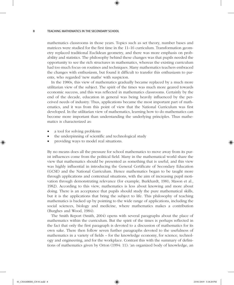mathematics classrooms in those years. Topics such as set theory, number bases and matrices were studied for the first time in the 11–16 curriculum. Transformation geometry replaced traditional Euclidean geometry, and there was more emphasis on probability and statistics. The philosophy behind these changes was that pupils needed the opportunity to see the rich structures in mathematics, whereas the existing curriculum had too much focus on routines and techniques. Many mathematics teachers embraced the changes with enthusiasm, but found it difficult to transfer this enthusiasm to parents, who regarded 'new maths' with suspicion.

⊕

In the 1980s, this view of mathematics gradually became replaced by a much more utilitarian view of the subject. The spirit of the times was much more geared towards economic success, and this was reflected in mathematics classrooms. Certainly by the end of the decade, education in general was being heavily influenced by the perceived needs of industry. Thus, applications became the most important part of mathematics, and it was from this point of view that the National Curriculum was first developed. In the utilitarian view of mathematics, learning how to do mathematics can become more important than understanding the underlying principles. Thus mathematics is characterized as:

- a tool for solving problems
- the underpinning of scientific and technological study
- providing ways to model real situations.

By no means does all the pressure for school mathematics to move away from its purist influences come from the political field. Many in the mathematical world share the view that mathematics should be presented as something that is useful, and this view was highly influential in introducing the General Certificate of Secondary Education (GCSE) and the National Curriculum. Hence mathematics began to be taught more through applications and contextual situations, with the aim of increasing pupil motivation through demonstrating relevance (for example, Burkhardt, 1981; Mason et al., 1982). According to this view, mathematics is less about knowing and more about doing. There is an acceptance that pupils should study the pure mathematical skills, but it is the applications that bring the subject to life. This philosophy of teaching mathematics is backed up by pointing to the wide range of applications, including the social sciences, biology and medicine, where mathematics makes a contribution (Burghes and Wood, 1984).

The Smith Report (Smith, 2004) opens with several paragraphs about the place of mathematics within the curriculum. But the spirit of the times is perhaps reflected in the fact that only the first paragraph is devoted to a discussion of mathematics for its own sake. There then follow seven further paragraphs devoted to the usefulness of mathematics in a variety of fields – for the knowledge economy, for science, technology and engineering, and for the workplace. Contrast this with the summary of definitions of mathematics given by Orton (1994: 11): 'an organized body of knowledge, an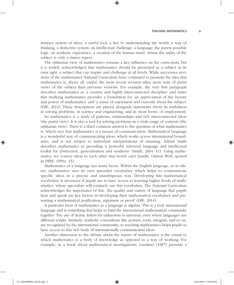#### TEACHING MATHEMATICS 9

abstract system of ideas, a useful tool, a key to understanding the world, a way of thinking, a deductive system, an intellectual challenge, a language, the purest possible logic, an aesthetic experience, a creation of the human mind', where the utility of the subject is only a minor aspect.

⊕

The utilitarian view of mathematics remains a key influence on the curriculum, but it is widely acknowledged that mathematics should be presented as a subject in its own right, a subject that can inspire and challenge at all levels. While successive revisions of the mathematics National Curriculum have continued to promote the idea that mathematics is, above all, useful, the most recent revision takes more note of purist views of the subject than previous versions. For example, the very first paragraph describes mathematics as 'a creative and highly interconnected discipline' and states that studying mathematics provides a foundation for 'an appreciation of the beauty and power of mathematics' and 'a sense of enjoyment and curiosity about the subject' (DfE, 2014). These descriptions are placed alongside statements about its usefulness in solving problems, in science and engineering, and in 'most forms' of employment.

So mathematics is a study of patterns, relationships and rich interconnected ideas (the purist view). It is also a tool for solving problems in a wide range of contexts (the utilitarian view). There is a third common answer to the question of what mathematics is, which says that mathematics is a means of communication. Mathematical language is a wonderful way of communicating ideas, which works across international boundaries, and is not subject to individual interpretations of meaning. Adrian Smith describes mathematics as providing 'a powerful universal language and intellectual toolkit for abstraction, generalisation and synthesis' (Smith, 2004: 11). Using mathematics, we 'convey ideas to each other that words can't handle' (Alison Wolf, quoted in DfEE, 1999a: 15).

Mathematics as a language has many facets. Within the English language, as in others, mathematics uses its own specialist vocabulary which helps to communicate specific ideas in a precise and unambiguous way. Developing this mathematical vocabulary is necessary if pupils are to have access to learning higher levels of mathematics, where specialists will routinely use this vocabulary. The National Curriculum acknowledges the importance of this: 'the quality and variety of language that pupils hear and speak are key factors in developing their mathematical vocabulary and presenting a mathematical justification, argument or proof' (DfE, 2014).

A particular facet of mathematics as a language is algebra. This is a truly international language and is something that helps to bind the international mathematical community together. The use of Arabic letters for unknowns is universal, even where languages use different scripts. Similarly, symbolic conventions like powers, roots, integrals, and so on, are recognized by the international community, so teaching mathematics helps pupils to have access to this rich body of internationally communicated ideas.

Another dimension to the debate about the nature of mathematics is the extent to which mathematics is a body of knowledge as opposed to a way of working. For example, in a book about mathematical investigations, Gardiner (1987) presents a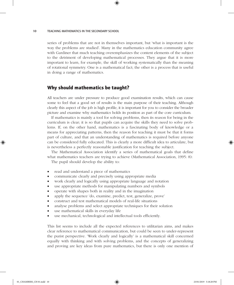series of problems that are not in themselves important, but 'what is important is the way the problems are studied'. Many in the mathematics education community agree with Gardiner that much teaching overemphasizes the content elements of the subject to the detriment of developing mathematical processes. They argue that it is more important to learn, for example, the skill of working systematically than the meaning of rotational symmetry. One is a mathematical fact; the other is a process that is useful in doing a range of mathematics.

⊕

#### Why should mathematics be taught?

All teachers are under pressure to produce good examination results, which can cause some to feel that a good set of results is the main purpose of their teaching. Although clearly this aspect of the job is high profile, it is important for you to consider the broader picture and examine why mathematics holds its position as part of the core curriculum.

If mathematics is mainly a tool for solving problems, then its reason for being in the curriculum is clear; it is so that pupils can acquire the skills they need to solve problems. If, on the other hand, mathematics is a fascinating body of knowledge or a means for appreciating patterns, then the reason for teaching it must be that it forms part of culture, and that an understanding of mathematics is required before anyone can be considered fully educated. This is clearly a more difficult idea to articulate, but is nevertheless a perfectly reasonable justification for teaching the subject.

The Mathematical Association identify a series of mathematical goals that define what mathematics teachers are trying to achieve (Mathematical Association, 1995: 8):

The pupil should develop the ability to:

- read and understand a piece of mathematics
- communicate clearly and precisely using appropriate media
- work clearly and logically using appropriate language and notation
- use appropriate methods for manipulating numbers and symbols
- operate with shapes both in reality and in the imagination
- apply the sequence 'do, examine, predict, test, generalize, prove'
- construct and test mathematical models of real-life situations
- analyse problems and select appropriate techniques for their solution
- use mathematical skills in everyday life
- use mechanical, technological and intellectual tools efficiently.

This list seems to include all the expected references to utilitarian aims, and makes clear reference to mathematical communication, but could be seen to under-represent the purist perspective. 'Work clearly and logically' is a mathematical skill concerned equally with thinking and with solving problems, and the concepts of generalizing and proving are key ideas from pure mathematics, but there is only one mention of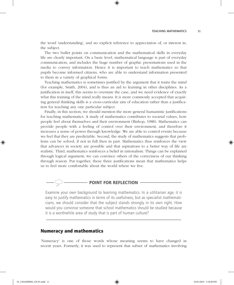the word 'understanding', and no explicit reference to appreciation of, or interest in, the subject.

⊕

The two bullet points on communication and the mathematical skills in everyday life are clearly important. On a basic level, mathematical language is part of everyday communication, and includes the huge number of graphic presentations used in the media to convey information. Hence it is important to teach mathematics so that pupils become informed citizens, who are able to understand information presented to them in a variety of graphical forms.

Teaching mathematics is sometimes justified by the argument that it trains the mind (for example, Smith, 2004), and is thus an aid to learning in other disciplines. As a justification in itself, this seems to overstate the case, and we need evidence of exactly what this training of the mind really means. It is more commonly accepted that acquiring general thinking skills is a cross-curricular aim of education rather than a justification for teaching any one particular subject.

Finally, in this section, we should mention the more general humanistic justifications for teaching mathematics. A study of mathematics contributes to societal values, how people feel about themselves and their environment (Bishop, 1988). Mathematics can provide people with a feeling of control over their environment, and therefore it increases a sense of power through knowledge. We are able to control events because we feel that they are predictable. Second, the study of mathematics suggests that problems can be solved, if not in full then in part. Mathematics thus reinforces the view that advances in society are possible and that aspirations to a better way of life are realistic. Third, mathematics reinforces a belief in rationalism. Things can be explained through logical argument; we can convince others of the correctness of our thinking through reason. Put together, these three justifications mean that mathematics helps us to feel more comfortable about the world where we live.

### - POINT FOR REFLECTION -

Examine your own background to learning mathematics. In a utilitarian age, it is easy to justify mathematics in terms of its usefulness, but as specialist mathematicians, we should consider that the subject stands strongly in its own right. How would you convince someone that school mathematics should be studied because it is a worthwhile area of study that is part of human culture?

#### Numeracy and mathematics

'Numeracy' is one of those words whose meaning seems to have changed in recent years. Formerly, it was used to represent that subset of mathematics involving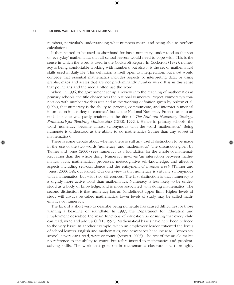numbers, particularly understanding what numbers mean, and being able to perform calculations.

⊕

It then started to be used as shorthand for basic numeracy, understood as the sort of 'everyday' mathematics that all school leavers would need to cope with. This is the sense in which the word is used in the Cockcroft Report. In Cockcroft (1982), numeracy is being comfortable working with numbers, but also it is the set of mathematical skills used in daily life. This definition is itself open to interpretation, but most would concede that essential mathematics includes aspects of interpreting data, or using graphs, maps and scales that are not predominantly number work. It is in this sense that politicians and the media often use the word.

When, in 1996, the government set up a review into the teaching of mathematics in primary schools, the title chosen was the National Numeracy Project. Numeracy's connection with number work is retained in the working definition given by Askew et al. (1997), that numeracy is the ability to 'process, communicate, and interpret numerical information in a variety of contexts', but as the National Numeracy Project came to an end, its name was partly retained in the title of *The National Numeracy Strategy: Framework for Teaching Mathematics* (DfEE, 1999b). Hence in primary schools, the word 'numeracy' became almost synonymous with the word 'mathematics'. Being numerate is understood as the ability to do mathematics (rather than any subset of mathematics).

There is some debate about whether there is still any useful distinction to be made in the use of the two words 'numeracy' and 'mathematics'. The discussion given by Tanner and Jones (2000) sees numeracy as a foundation for the whole of mathematics, rather than the whole thing. Numeracy involves 'an interaction between mathematical facts, mathematical processes, metacognitive self-knowledge, and affective aspects including self-confidence and the enjoyment *of number work*' (Tanner and Jones, 2000: 146, our italics). Our own view is that numeracy is virtually synonymous with mathematics, but with two differences. The first distinction is that numeracy is a slightly more active word than mathematics. Numeracy is less likely to be understood as a body of knowledge, and is more associated with doing mathematics. The second distinction is that numeracy has an (undefined) upper limit. Higher levels of study will always be called mathematics; lower levels of study may be called mathematics or numeracy.

The lack of a short verb to describe being numerate has caused difficulties for those wanting a headline or soundbite. In 1997, the Department for Education and Employment described the main functions of education as ensuring that every child can read, write and add up (DfEE, 1997). Mathematical basics have here been reduced to the very basic! In another example, when an employers' leader criticized the levels of school leavers' English and mathematics, one newspaper headline read, 'Bosses say school leavers can't read, write or count' (Stewart, 2005). The rest of the article makes no reference to the ability to count, but refers instead to mathematics and problemsolving skills. The work that goes on in mathematics classrooms is thoroughly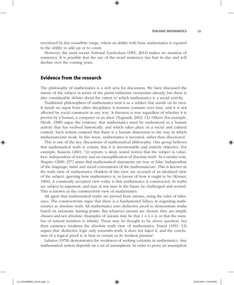trivialized by this soundbite usage, where an ability with basic mathematics is equated to the ability to add up or to count.

⊕

However, the most recent National Curriculum (DFE, 2014) makes no mention of numeracy. It is possible that the use of the word numeracy has had its day and will decline over the coming years.

#### Evidence from the research

The philosophy of mathematics is a rich area for discussion. We have discussed the nature of the subject in terms of the purist/utilitarian viewpoints already, but there is also considerable debate about the extent to which mathematics is a social activity.

Traditional philosophers of mathematics treat it as a subject that stands on its own. It needs no input from other disciplines; it remains constant over time, and it is not affected by social constructs in any way. 'A theorem is true regardless of whether it is proven by a human, a computer or an alien' (Tegmark, 2003: 13). Others (for example, Hersh, 1998) argue the contrary: that mathematics must be understood as a human activity that has evolved historically, and which takes place in a social and cultural context. Such writers contend that there is a human dimension to the way in which mathematicians work. In this sense, mathematics is invented, rather than discovered.

This is one of the key discussions of mathematical philosophy. One group believes that mathematical truth is certain, that it is incontestable and entirely objective. For example, Kassem (2001: 72) reports 'a deep seated notion that the subject is valuefree, independent of society and an exemplification of absolute truth'. In a similar vein, Shapiro (2000: 257) states that mathematical statements are true or false 'independent of the language, mind and social conventions of the mathematician'. This is known as the truth view of mathematics. Holders of this view are accused of an idealized view of the subject, ignoring how mathematics is, in favour of how it ought to be (Körner, 1960). A commonly accepted view today is that mathematics is constructed; its truths are subject to argument, and may at any time in the future be challenged and revised. This is known as the constructivist view of mathematics.

All agree that mathematical truths are proved from axioms, using the rules of inference. The constructivists argue that there is a fundamental fallacy in regarding mathematics as absolute truth. All mathematics uses deductive proof to demonstrate truths based on axiomatic starting points. But whatever axioms are chosen, they are simply chosen and not absolute. Examples of axioms may be that  $1 + 1 = 2$ , or that the number of natural numbers is infinite. These may be thought to be above question, but their existence weakens the absolute truth view of mathematics. Ernest (1991: 13) argues that 'deductive logic only transmits truth, it does not inject it, and the conclusion of a logical proof is at best as certain as its weakest premise'.

Lakatos (1978) demonstrates the weakness of seeking certainty in mathematics. Any mathematical system depends on a set of assumptions. In order to prove an assumption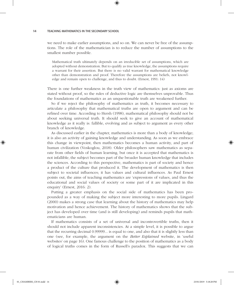we need to make earlier assumptions, and so on. We can never be free of the assumptions. The role of the mathematician is to reduce the number of assumptions to the smallest number possible.

⊕

Mathematical truth ultimately depends on an irreducible set of assumptions, which are adopted without demonstration. But to qualify as true knowledge, the assumptions require a warrant for their assertion. But there is no valid warrant for mathematical knowledge other than demonstration and proof. Therefore the assumptions are beliefs, not knowledge and remain open to challenge, and thus to doubt. (Ernest, 1991: 14)

There is one further weakness in the truth view of mathematics: just as axioms are stated without proof, so the rules of deductive logic are themselves unprovable. Thus the foundations of mathematics as an unquestionable truth are weakened further.

So if we reject the philosophy of mathematics as truth, it becomes necessary to articulate a philosophy that mathematical truths are open to argument and can be refined over time. According to Hersh (1998), mathematical philosophy should not be about seeking universal truth. It should seek to give an account of mathematical knowledge as it really is: fallible, evolving and as subject to argument as every other branch of knowledge.

As discussed earlier in the chapter, mathematics is more than a body of knowledge; it is also an activity of gaining knowledge and understanding. As soon as we embrace this change in viewpoint, then mathematics becomes a human activity, and part of human civilization (Voskoglou, 2018). Older philosophers saw mathematics as separate from other fields of human learning, but once it is accepted that mathematics is not infallible, the subject becomes part of the broader human knowledge that includes the sciences. According to this perspective, mathematics is part of society and hence a product of the culture that produced it. The development of mathematics is then subject to societal influences; it has values and cultural influences. As Paul Ernest points out, the aims of teaching mathematics are 'expressions of values, and thus the educational and social values of society or some part of it are implicated in this enquiry' (Ernest, 2016: 2).

Putting a greater emphasis on the social side of mathematics has been propounded as a way of making the subject more interesting to more pupils. Lingard (2000) makes a strong case that learning about the history of mathematics may help motivation and hence achievement. The history of mathematics shows that the subject has developed over time (and is still developing) and reminds pupils that mathematicians are human.

If mathematics consists of a set of universal and incontrovertible truths, then it should not include apparent inconsistencies. At a simple level, it is possible to argue that the recurring decimal 0.99999... is equal to one, and also that it is slightly less than one (see, for example, the argument on the *Better Explained* website, in 'useful websites' on page 16). One famous challenge to the position of mathematics as a body of logical truths comes in the form of Russell's paradox. This suggests that we can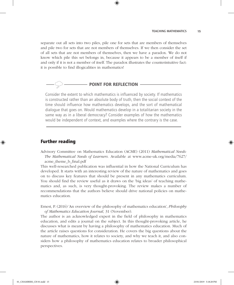#### TEACHING MATHEMATICS 15

separate out all sets into two piles, pile one for sets that are members of themselves and pile two for sets that are not members of themselves. If we then consider the set of all sets that are not members of themselves, then we have a paradox. We do not know which pile this set belongs in, because it appears to be a member of itself if and only if it is not a member of itself. The paradox illustrates the counterintuitive fact: it is possible to find illogicalities in mathematics!

⊕

### - POINT FOR REFLECTION

Consider the extent to which mathematics is influenced by society. If mathematics is constructed rather than an absolute body of truth, then the social context of the time should influence how mathematics develops, and the sort of mathematical dialogue that goes on. Would mathematics develop in a totalitarian society in the same way as in a liberal democracy? Consider examples of how the mathematics would be independent of context, and examples where the contrary is the case.

#### Further reading

♠

Advisory Committee on Mathematics Education (ACME) (2011) *Mathematical Needs: The Mathematical Needs of Learners.* Available at www.acme-uk.org/media/7627/ acme theme b final.pdf

This well-researched publication was influential in how the National Curriculum has developed. It starts with an interesting review of the nature of mathematics and goes on to discuss key features that should be present in any mathematics curriculum. You should find the review useful as it draws on the 'big ideas' of teaching mathematics and, as such, is very thought-provoking. The review makes a number of recommendations that the authors believe should drive national policies on mathematics education.

Ernest, P. (2016) 'An overview of the philosophy of mathematics education', *Philosophy of Mathematics Education Journal*, 31 (November).

The author is an acknowledged expert in the field of philosophy in mathematics education, and edits a journal on the subject. In this thought-provoking article, he discusses what is meant by having a philosophy of mathematics education. Much of the article raises questions for consideration. He covers the big questions about the nature of mathematics, how it relates to society, and why we teach it, and also considers how a philosophy of mathematics education relates to broader philosophical perspectives.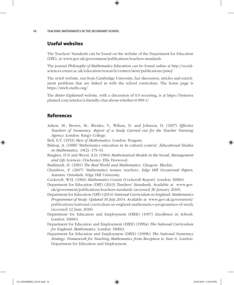#### Useful websites

The Teachers' Standards can be found on the website of the Department for Education (DfE), at www.gov.uk/government/publications/teachers-standards

⊕

The journal *Philosophy of Mathematics Education* can be found online at http://socialsciences.exeter.ac.uk/education/research/centres/stem/publications/pmej/

The *nrich* website, run from Cambridge University, has discussion, articles and enrichment problems that are linked in with the school curriculum. The home page is https://nrich.maths.org/

The *Better Explained* website, with a discussion of 0.9 recurring, is at https://betterex plained.com/articles/a-friendly-chat-about-whether-0-999-1/

#### References

- Askew, M., Brown, M., Rhodes, V., Wiliam, D. and Johnson, D. (1997) *Effective Teachers of Numeracy: Report of a Study Carried out for the Teacher Training Agency*. London: King's College.
- Bell, E.T. (1953) *Men of Mathematics*. London: Penguin.
- Bishop, A. (1988) 'Mathematics education in its cultural context', *Educational Studies in Mathematics*, *19*(2): 179–91.
- Burghes, D.N and Wood, A.D. (1984) *Mathematical Models in the Social, Management and Life Sciences*. Chichester: Ellis Horwood.
- Burkhardt, H. (1981) *The Real World and Mathematics*. Glasgow: Blackie.
- Chambers, P. (2007) 'Mathematics trainee teachers', *Edge Hill Occasional Papers*, Autumn. Ormskirk: Edge Hill University.
- Cockcroft, W.H. (1982) *Mathematics Counts* (Cockcroft Report). London: HMSO.
- Department for Education (DfE) (2013) *Teachers' Standards*. Available at www.gov. uk/government/publications/teachers-standards (accessed 30 January 2018).

Department for Education (DfE) (2014) *National Curriculum in England: Mathematics Programmes of Study. Updated 16 July 2014*. Available at www.gov.uk/government/ publications/national-curriculum-in-england-mathematics-programmes-of-study (accessed 12 June 2018).

- Department for Education and Employment (DfEE) (1997) *Excellence in Schools*. London: HMSO.
- Department for Education and Employment (DfEE) (1999a) *The National Curriculum for England: Mathematics*. London: HMSO.
- Department for Education and Employment (DfEE) (1999b) *The National Numeracy Strategy: Framework for Teaching Mathematics from Reception to Year 6*. London: Department for Education and Employment.

⊕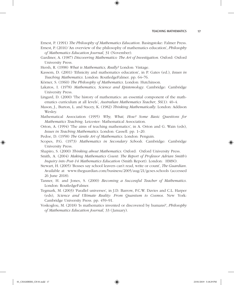#### TEACHING MATHEMATICS 17

Ernest, P. (1991) *The Philosophy of Mathematics Education*. Basingstoke: Falmer Press.

Ernest, P. (2016) 'An overview of the philosophy of mathematics education', *Philosophy of Mathematics Education Journal*, 31 (November).

⊕

Gardiner, A. (1987) *Discovering Mathematics: The Art of Investigation*. Oxford: Oxford University Press.

Hersh, R. (1998) *What is Mathematics, Really?* London: Vintage.

Kassem, D. (2001) 'Ethnicity and mathematics education', in P. Gates (ed.), *Issues in Teaching Mathematics*. London: RoutledgeFalmer. pp. 64–76.

Körner, S. (1960) *The Philosophy of Mathematics*. London: Hutchinson.

Lakatos, I. (1978) *Mathematics, Science and Epistemology*. Cambridge: Cambridge University Press.

Lingard, D. (2000) 'The history of mathematics: an essential component of the mathematics curriculum at all levels', *Australian Mathematics Teacher*, *56*(1): 40–4.

Mason, J., Burton, L. and Stacey, K. (1982) *Thinking Mathematically*. London: Addison Wesley.

Mathematical Association (1995) *Why, What, How? Some Basic Questions for Mathematics Teaching*. Leicester: Mathematical Association.

Orton, A. (1994) 'The aims of teaching mathematics', in A. Orton and G. Wain (eds), *Issues in Teaching Mathematics*. London: Cassell. pp. 1–20.

Pedoe, D. (1958) *The Gentle Art of Mathematics*. London: Penguin.

Scopes, P.G. (1973) *Mathematics in Secondary Schools*. Cambridge: Cambridge University Press.

Shapiro, S. (2000) *Thinking about Mathematics*. Oxford: Oxford University Press.

Smith, A. (2004) *Making Mathematics Count: The Report of Professor Adrian Smith's Inquiry into Post-14 Mathematics Education* (Smith Report). London: HMSO.

Stewart, H. (2005) 'Bosses say school leavers can't read, write or count', *The Guardian*. Available at www.theguardian.com/business/2005/aug/21/gcses.schools (accessed 26 June 2018).

- Tanner, H. and Jones, S. (2000) *Becoming a Successful Teacher of Mathematics*. London: RoutledgeFalmer.
- Tegmark, M. (2003) 'Parallel universes', in J.D. Barrow, P.C.W. Davies and C.L. Harper (eds), *Science and Ultimate Reality: From Quantum to Cosmos*. New York: Cambridge University Press. pp. 459–91.
- Voskoglou, M. (2018) 'Is mathematics invented or discovered by humans?', *Philosophy of Mathematics Education Journal*, 33 (January).